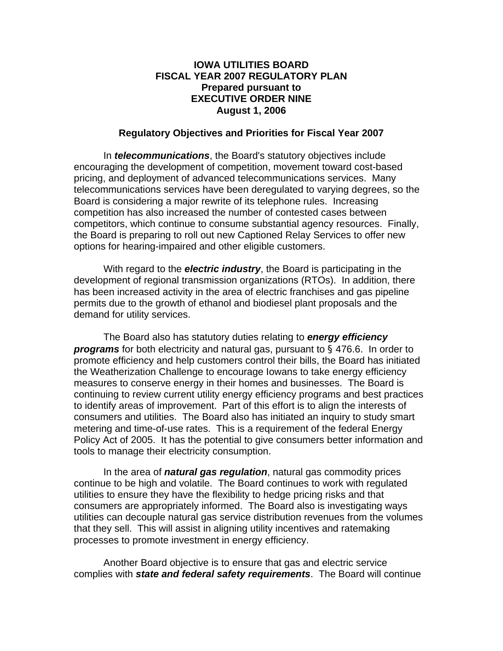## **IOWA UTILITIES BOARD FISCAL YEAR 2007 REGULATORY PLAN Prepared pursuant to EXECUTIVE ORDER NINE August 1, 2006**

## **Regulatory Objectives and Priorities for Fiscal Year 2007**

In *telecommunications*, the Board's statutory objectives include encouraging the development of competition, movement toward cost-based pricing, and deployment of advanced telecommunications services. Many telecommunications services have been deregulated to varying degrees, so the Board is considering a major rewrite of its telephone rules. Increasing competition has also increased the number of contested cases between competitors, which continue to consume substantial agency resources. Finally, the Board is preparing to roll out new Captioned Relay Services to offer new options for hearing-impaired and other eligible customers.

With regard to the *electric industry*, the Board is participating in the development of regional transmission organizations (RTOs). In addition, there has been increased activity in the area of electric franchises and gas pipeline permits due to the growth of ethanol and biodiesel plant proposals and the demand for utility services.

The Board also has statutory duties relating to *energy efficiency programs* for both electricity and natural gas, pursuant to § 476.6. In order to promote efficiency and help customers control their bills, the Board has initiated the Weatherization Challenge to encourage Iowans to take energy efficiency measures to conserve energy in their homes and businesses. The Board is continuing to review current utility energy efficiency programs and best practices to identify areas of improvement. Part of this effort is to align the interests of consumers and utilities. The Board also has initiated an inquiry to study smart metering and time-of-use rates. This is a requirement of the federal Energy Policy Act of 2005. It has the potential to give consumers better information and tools to manage their electricity consumption.

 In the area of *natural gas regulation*, natural gas commodity prices continue to be high and volatile. The Board continues to work with regulated utilities to ensure they have the flexibility to hedge pricing risks and that consumers are appropriately informed. The Board also is investigating ways utilities can decouple natural gas service distribution revenues from the volumes that they sell. This will assist in aligning utility incentives and ratemaking processes to promote investment in energy efficiency.

Another Board objective is to ensure that gas and electric service complies with *state and federal safety requirements*. The Board will continue